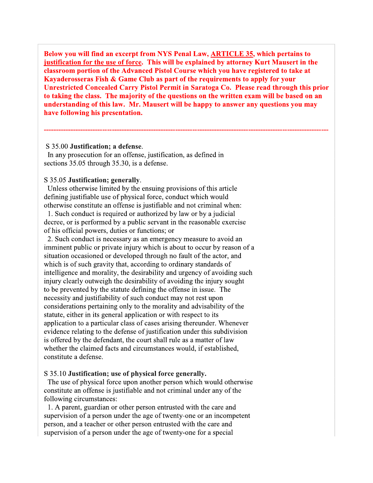Below you will find an excerpt from NYS Penal Law, ARTICLE 35, which pertains to iustification for the use of force. This will be explained by attorney Kurt Mausert in the aw, <u>ARTICLE 35</u>, which pertains to<br>ained by attorney Kurt Mausert in the<br>which you have registered to take at<br>requirements to apply for your<br>ratoga Co. Please read through this prior<br>on the written exam will be based on a classroom portion of the Advanced Pistol Course which you have registered to take at **Kavaderosseras Fish & Game Club as part of the requirements to apply for your** Unrestricted Concealed Carry Pistol Permit in Saratoga Co. Please read through this prior to taking the class. The majority of the questions on the written exam will be based on an understanding of this law. Mr. Mausert will be happy to answer any questions you may bow you will find an excerpt from NYS Penal Law,  $\underline{A}$ <br>
ification for the use of force. This will be explained<br>
sroom portion of the Advanced Pistol Course which<br>
raderosseras Fish & Game Club as part of the requi<br>
est have following his presentation.

000000000000000000000000000000000000000000000000000000000000000000000000000000000000000000000000000000000000000000000

# S 35.00 Justification: a defense.

In any prosecution for an offense, justification, as defined in sections 35.05 through 35.30, is a defense.

# S 35.05 Justification: generally.

Unless otherwise limited by the ensuing provisions of this article defining justifiable use of physical force, conduct which would otherwise constitute an offense is justifiable and not criminal when:

1. Such conduct is required or authorized by law or by a judicial decree, or is performed by a public servant in the reasonable exercise of his official powers, duties or functions; or

2. Such conduct is necessary as an emergency measure to avoid an imminent public or private injury which is about to occur by reason of a situation occasioned or developed through no fault of the actor, and which is of such gravity that, according to ordinary standards of intelligence and morality, the desirability and urgency of avoiding such injury clearly outweigh the desirability of avoiding the injury sought to be prevented by the statute defining the offense in issue. The necessity and justifiability of such conduct may not rest upon considerations pertaining only to the morality and advisability of the statute, either in its general application or with respect to its application to a particular class of cases arising thereunder. Whenever evidence relating to the defense of justification under this subdivision is offered by the defendant, the court shall rule as a matter of law whether the claimed facts and circumstances would, if established, constitute a defense.

# $S$  35.10 Justification: use of physical force generally.

The use of physical force upon another person which would otherwise constitute an offense is justifiable and not criminal under any of the following circumstances:

1. A parent, guardian or other person entrusted with the care and supervision of a person under the age of twenty-one or an incompetent person, and a teacher or other person entrusted with the care and supervision of a person under the age of twenty-one for a special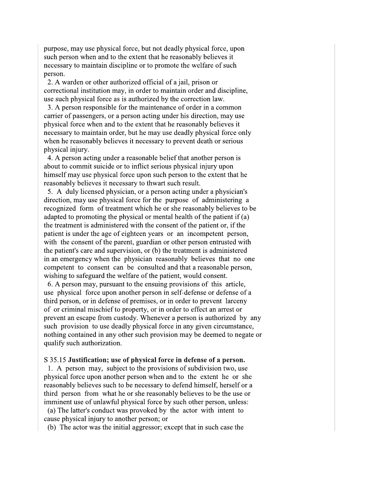purpose, may use physical force, but not deadly physical force, upon such person when and to the extent that he reasonably believes it necessary to maintain discipline or to promote the welfare of such person.

2. A warden or other authorized official of a jail, prison or correctional institution may, in order to maintain order and discipline, use such physical force as is authorized by the correction law.

3. A person responsible for the maintenance of order in a common carrier of passengers, or a person acting under his direction, may use physical force when and to the extent that he reasonably believes it necessary to maintain order, but he may use deadly physical force only when he reasonably believes it necessary to prevent death or serious physical injury.

4. A person acting under a reasonable belief that another person is about to commit suicide or to inflict serious physical injury upon himself may use physical force upon such person to the extent that he reasonably believes it necessary to thwart such result.

5. A duly licensed physician, or a person acting under a physician's direction, may use physical force for the purpose of administering a recognized form of treatment which he or she reasonably believes to be adapted to promoting the physical or mental health of the patient if (a) the treatment is administered with the consent of the patient or, if the patient is under the age of eighteen years or an incompetent person, with the consent of the parent, guardian or other person entrusted with the patient's care and supervision, or (b) the treatment is administered in an emergency when the physician reasonably believes that no one competent to consent can be consulted and that a reasonable person, wishing to safeguard the welfare of the patient, would consent.

6. A person may, pursuant to the ensuing provisions of this article, use physical force upon another person in self-defense or defense of a third person, or in defense of premises, or in order to prevent larceny of or criminal mischief to property, or in order to effect an arrest or prevent an escape from custody. Whenever a person is authorized by any such provision to use deadly physical force in any given circumstance, nothing contained in any other such provision may be deemed to negate or qualify such authorization.

#### S 35.15 Justification; use of physical force in defense of a person.

1. A person may, subject to the provisions of subdivision two, use physical force upon another person when and to the extent he or she reasonably believes such to be necessary to defend himself, herself or a third person from what he or she reasonably believes to be the use or imminent use of unlawful physical force by such other person, unless:

(a) The latter's conduct was provoked by the actor with intent to cause physical injury to another person; or

(b) The actor was the initial aggressor; except that in such case the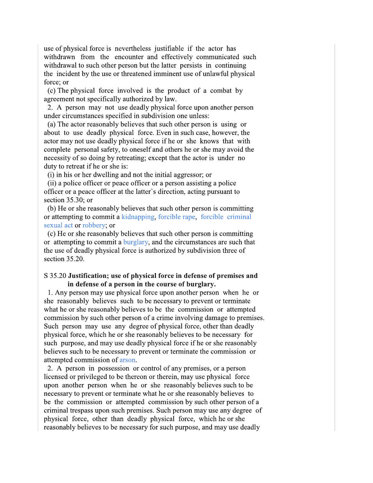use of physical force is nevertheless justifiable if the actor has withdrawn from the encounter and effectively communicated such withdrawal to such other person but the latter persists in continuing the incident by the use or threatened imminent use of unlawful physical force; or

(c) The physical force involved is the product of a combat by agreement not specifically authorized by law.

2. A person may not use deadly physical force upon another person under circumstances specified in subdivision one unless:

(a) The actor reasonably believes that such other person is using or about to use deadly physical force. Even in such case, however, the actor may not use deadly physical force if he or she knows that with complete personal safety, to oneself and others he or she may avoid the necessity of so doing by retreating; except that the actor is under no duty to retreat if he or she is:

(i) in his or her dwelling and not the initial aggressor; or

(ii) a police officer or peace officer or a person assisting a police officer or a peace officer at the latter's direction, acting pursuant to section 35.30; or

(b) He or she reasonably believes that such other person is committing or attempting to commit a kidnapping, forcible rape, forcible criminal sexual act or robbery; or

(c) He or she reasonably believes that such other person is committing or attempting to commit a burglary, and the circumstances are such that the use of deadly physical force is authorized by subdivision three of section 35.20.

#### S 35.20 Justification; use of physical force in defense of premises and in defense of a person in the course of burglary.

1. Any person may use physical force upon another person when he or she reasonably believes such to be necessary to prevent or terminate what he or she reasonably believes to be the commission or attempted commission by such other person of a crime involving damage to premises. Such person may use any degree of physical force, other than deadly physical force, which he or she reasonably believes to be necessary for such purpose, and may use deadly physical force if he or she reasonably believes such to be necessary to prevent or terminate the commission or attempted commission of arson.

2. A person in possession or control of any premises, or a person licensed or privileged to be thereon or therein, may use physical force upon another person when he or she reasonably believes such to be necessary to prevent or terminate what he or she reasonably believes to be the commission or attempted commission by such other person of a criminal trespass upon such premises. Such person may use any degree of physical force, other than deadly physical force, which he or she reasonably believes to be necessary for such purpose, and may use deadly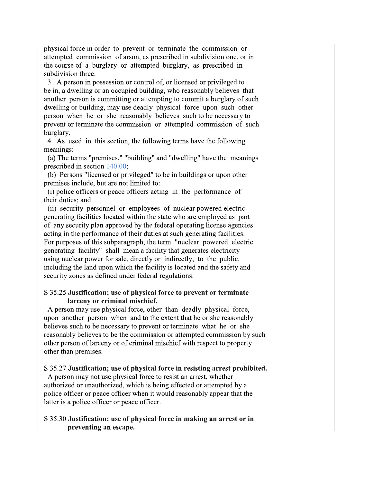physical force in order to prevent or terminate the commission or attempted commission of arson, as prescribed in subdivision one, or in the course of a burglary or attempted burglary, as prescribed in subdivision three.

3. A person in possession or control of, or licensed or privileged to be in, a dwelling or an occupied building, who reasonably believes that another person is committing or attempting to commit a burglary of such dwelling or building, may use deadly physical force upon such other person when he or she reasonably believes such to be necessary to prevent or terminate the commission or attempted commission of such burglary.

4. As used in this section, the following terms have the following meanings:

(a) The terms "premises," "building" and "dwelling" have the meanings prescribed in section 140.00;

(b) Persons "licensed or privileged" to be in buildings or upon other premises include, but are not limited to:

(i) police officers or peace officers acting in the performance of their duties; and

(ii) security personnel or employees of nuclear powered electric generating facilities located within the state who are employed as part of any security plan approved by the federal operating license agencies acting in the performance of their duties at such generating facilities. For purposes of this subparagraph, the term "nuclear powered electric generating facility" shall mean a facility that generates electricity using nuclear power for sale, directly or indirectly, to the public, including the land upon which the facility is located and the safety and security zones as defined under federal regulations.

### S 35.25 Justification; use of physical force to prevent or terminate larceny or criminal mischief.

A person may use physical force, other than deadly physical force, upon another person when and to the extent that he or she reasonably believes such to be necessary to prevent or terminate what he or she reasonably believes to be the commission or attempted commission by such other person of larceny or of criminal mischief with respect to property other than premises.

### S 35.27 Justification; use of physical force in resisting arrest prohibited.

A person may not use physical force to resist an arrest, whether authorized or unauthorized, which is being effected or attempted by a police officer or peace officer when it would reasonably appear that the latter is a police officer or peace officer.

### S 35.30 Justification; use of physical force in making an arrest or in preventing an escape.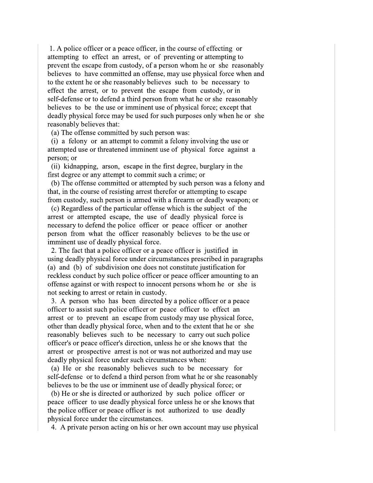1. A police officer or a peace officer, in the course of effecting or attempting to effect an arrest, or of preventing or attempting to prevent the escape from custody, of a person whom he or she reasonably believes to have committed an offense, may use physical force when and to the extent he or she reasonably believes such to be necessary to effect the arrest, or to prevent the escape from custody, or in self-defense or to defend a third person from what he or she reasonably believes to be the use or imminent use of physical force; except that deadly physical force may be used for such purposes only when he or she reasonably believes that:

(a) The offense committed by such person was:

(i) a felony or an attempt to commit a felony involving the use or attempted use or threatened imminent use of physical force against a person; or

(ii) kidnapping, arson, escape in the first degree, burglary in the first degree or any attempt to commit such a crime; or

(b) The offense committed or attempted by such person was a felony and that, in the course of resisting arrest therefor or attempting to escape from custody, such person is armed with a firearm or deadly weapon; or

(c) Regardless of the particular offense which is the subject of the arrest or attempted escape, the use of deadly physical force is necessary to defend the police officer or peace officer or another person from what the officer reasonably believes to be the use or imminent use of deadly physical force.

2. The fact that a police officer or a peace officer is justified in using deadly physical force under circumstances prescribed in paragraphs (a) and (b) of subdivision one does not constitute justification for reckless conduct by such police officer or peace officer amounting to an offense against or with respect to innocent persons whom he or she is not seeking to arrest or retain in custody.

3. A person who has been directed by a police officer or a peace officer to assist such police officer or peace officer to effect an arrest or to prevent an escape from custody may use physical force, other than deadly physical force, when and to the extent that he or she reasonably believes such to be necessary to carry out such police officer's or peace officer's direction, unless he or she knows that the arrest or prospective arrest is not or was not authorized and may use deadly physical force under such circumstances when:

(a) He or she reasonably believes such to be necessary for self-defense or to defend a third person from what he or she reasonably believes to be the use or imminent use of deadly physical force; or

(b) He or she is directed or authorized by such police officer or peace officer to use deadly physical force unless he or she knows that the police officer or peace officer is not authorized to use deadly physical force under the circumstances.

4. A private person acting on his or her own account may use physical